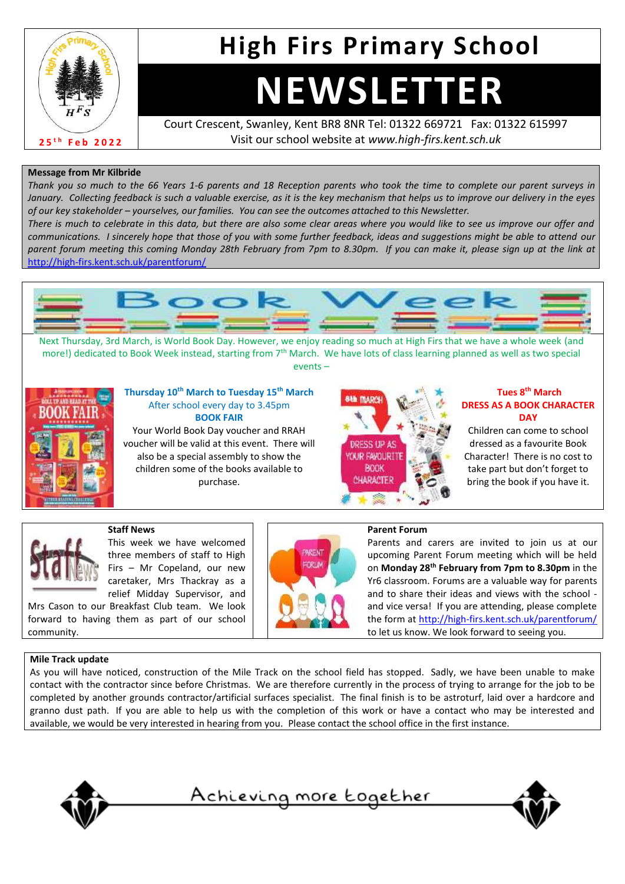

### **High Firs Primary School**

# **NEWSLETTER**

Court Crescent, Swanley, Kent BR8 8NR Tel: 01322 669721 Fax: 01322 615997 Visit our school website at *www.high-firs.kent.sch.uk*

#### **Message from Mr Kilbride**

*Thank you so much to the 66 Years 1-6 parents and 18 Reception parents who took the time to complete our parent surveys in January. Collecting feedback is such a valuable exercise, as it is the key mechanism that helps us to improve our delivery in the eyes of our key stakeholder – yourselves, our families. You can see the outcomes attached to this Newsletter.* 

*There is much to celebrate in this data, but there are also some clear areas where you would like to see us improve our offer and communications. I sincerely hope that those of you with some further feedback, ideas and suggestions might be able to attend our parent forum meeting this coming Monday 28th February from 7pm to 8.30pm. If you can make it, please sign up at the link at*  <http://high-firs.kent.sch.uk/parentforum/>



Next Thursday, 3rd March, is World Book Day. However, we enjoy reading so much at High Firs that we have a whole week (and more!) dedicated to Book Week instead, starting from 7<sup>th</sup> March. We have lots of class learning planned as well as two special events –



#### **Thursday 10th March to Tuesday 15th March** After school every day to 3.45pm **BOOK FAIR**

Your World Book Day voucher and RRAH voucher will be valid at this event. There will also be a special assembly to show the children some of the books available to purchase.



#### **Tues 8th March DRESS AS A BOOK CHARACTER DAY**

Children can come to school dressed as a favourite Book Character! There is no cost to take part but don't forget to bring the book if you have it.

three members of staff to High Firs – Mr Copeland, our new caretaker, Mrs Thackray as a relief Midday Supervisor, and

This week we have welcomed

Mrs Cason to our Breakfast Club team. We look forward to having them as part of our school community.

**Staff News**



#### **Parent Forum**

Parents and carers are invited to join us at our upcoming Parent Forum meeting which will be held on **Monday 28th February from 7pm to 8.30pm** in the Yr6 classroom. Forums are a valuable way for parents and to share their ideas and views with the school and vice versa! If you are attending, please complete the form at<http://high-firs.kent.sch.uk/parentforum/> to let us know. We look forward to seeing you.

#### **Mile Track update**

As you will have noticed, construction of the Mile Track on the school field has stopped. Sadly, we have been unable to make contact with the contractor since before Christmas. We are therefore currently in the process of trying to arrange for the job to be completed by another grounds contractor/artificial surfaces specialist. The final finish is to be astroturf, laid over a hardcore and granno dust path. If you are able to help us with the completion of this work or have a contact who may be interested and available, we would be very interested in hearing from you. Please contact the school office in the first instance.



```
Achieving more together
```
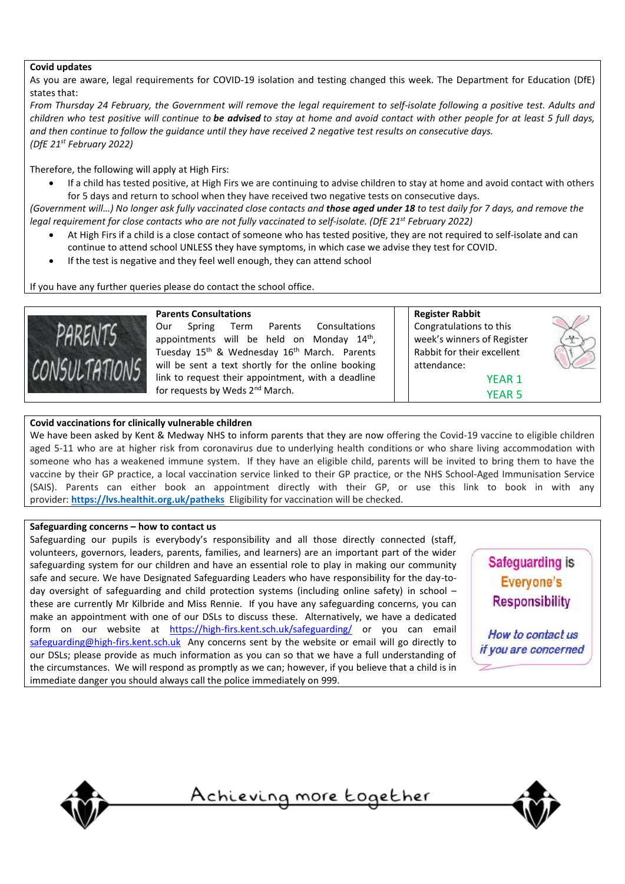#### **Covid updates**

As you are aware, legal requirements for COVID-19 isolation and testing changed this week. The Department for Education (DfE) states that:

From Thursday 24 February, the Government will remove the legal requirement to self-isolate following a positive test. Adults and children who test positive will continue to be advised to stay at home and avoid contact with other people for at least 5 full days, and then continue to follow the guidance until they have received 2 negative test results on consecutive days. *(DfE 21st February 2022)*

Therefore, the following will apply at High Firs:

• If a child has tested positive, at High Firs we are continuing to advise children to stay at home and avoid contact with others for 5 days and return to school when they have received two negative tests on consecutive days.

(Government will...) No longer ask fully vaccinated close contacts and those aged under 18 to test daily for 7 days, and remove the legal requirement for close contacts who are not fully vaccinated to self-isolate. (DfE 21<sup>st</sup> February 2022)

- At High Firs if a child is a close contact of someone who has tested positive, they are not required to self-isolate and can continue to attend school UNLESS they have symptoms, in which case we advise they test for COVID.
- If the test is negative and they feel well enough, they can attend school

If you have any further queries please do contact the school office.



#### **Parents Consultations**

Our Spring Term Parents Consultations appointments will be held on Monday 14<sup>th</sup>, Tuesday 15<sup>th</sup> & Wednesday 16<sup>th</sup> March. Parents will be sent a text shortly for the online booking link to request their appointment, with a deadline for requests by Weds 2<sup>nd</sup> March.

**Register Rabbit** Congratulations to this week's winners of Register Rabbit for their excellent attendance:

YEAR 1 YEAR 5

#### **Covid vaccinations for clinically vulnerable children**

We have been asked by Kent & Medway NHS to inform parents that they are now offering the Covid-19 vaccine to eligible children aged 5-11 who are at higher risk from coronavirus due to underlying health conditions or who share living accommodation with someone who has a weakened immune system. If they have an eligible child, parents will be invited to bring them to have the vaccine by their GP practice, a local vaccination service linked to their GP practice, or the NHS School-Aged Immunisation Service (SAIS). Parents can either book an appointment directly with their GP, or use this link to book in with any provider: **<https://lvs.healthit.org.uk/patheks>** Eligibility for vaccination will be checked.

#### **Safeguarding concerns – how to contact us**

Safeguarding our pupils is everybody's responsibility and all those directly connected (staff, volunteers, governors, leaders, parents, families, and learners) are an important part of the wider safeguarding system for our children and have an essential role to play in making our community safe and secure. We have Designated Safeguarding Leaders who have responsibility for the day-today oversight of safeguarding and child protection systems (including online safety) in school – these are currently Mr Kilbride and Miss Rennie. If you have any safeguarding concerns, you can make an appointment with one of our DSLs to discuss these. Alternatively, we have a dedicated form on our website at <https://high-firs.kent.sch.uk/safeguarding/> or you can email [safeguarding@high-firs.kent.sch.uk](mailto:safeguarding@high-firs.kent.sch.uk) Any concerns sent by the website or email will go directly to our DSLs; please provide as much information as you can so that we have a full understanding of the circumstances. We will respond as promptly as we can; however, if you believe that a child is in immediate danger you should always call the police immediately on 999.



How to contact us if you are concerned



<u>Achieving more together</u>

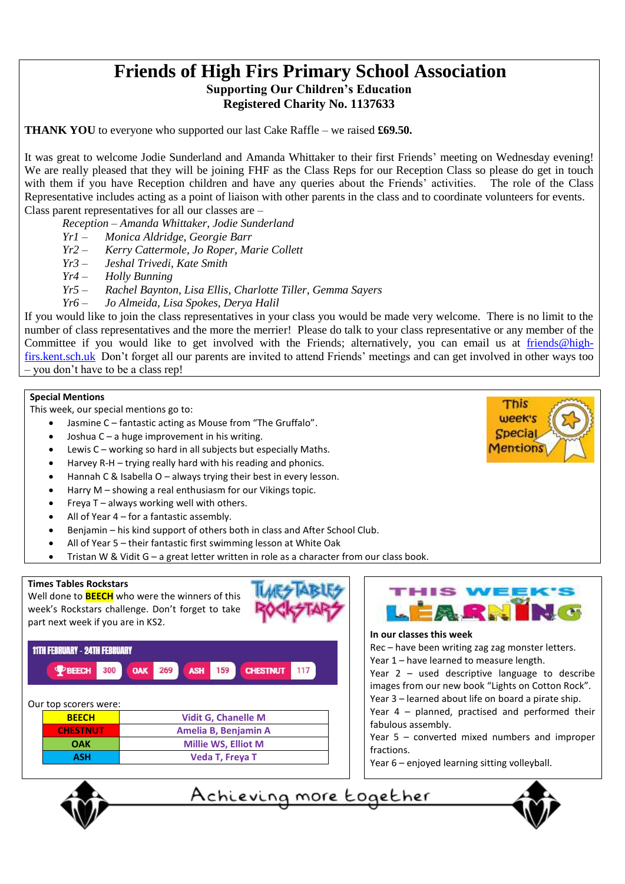### **Friends of High Firs Primary School Association Supporting Our Children's Education Registered Charity No. 1137633**

**THANK YOU** to everyone who supported our last Cake Raffle – we raised **£69.50.**

It was great to welcome Jodie Sunderland and Amanda Whittaker to their first Friends' meeting on Wednesday evening! We are really pleased that they will be joining FHF as the Class Reps for our Reception Class so please do get in touch with them if you have Reception children and have any queries about the Friends' activities. The role of the Class Representative includes acting as a point of liaison with other parents in the class and to coordinate volunteers for events. Class parent representatives for all our classes are –

*Reception – Amanda Whittaker, Jodie Sunderland*

- *Yr1 Monica Aldridge, Georgie Barr*
- *Yr2 Kerry Cattermole, Jo Roper, Marie Collett*
- *Yr3 Jeshal Trivedi, Kate Smith*
- *Yr4 Holly Bunning*
- *Yr5 Rachel Baynton, Lisa Ellis, Charlotte Tiller, Gemma Sayers*
- *Yr6 Jo Almeida, Lisa Spokes, Derya Halil*

If you would like to join the class representatives in your class you would be made very welcome. There is no limit to the number of class representatives and the more the merrier! Please do talk to your class representative or any member of the Committee if you would like to get involved with the Friends; alternatively, you can email us at [friends@high](mailto:friends@high-firs.kent.sch.uk)[firs.kent.sch.uk](mailto:friends@high-firs.kent.sch.uk) Don't forget all our parents are invited to attend Friends' meetings and can get involved in other ways too – you don't have to be a class rep!

#### **Special Mentions**

This week, our special mentions go to:

- Jasmine C fantastic acting as Mouse from "The Gruffalo".
- Joshua C a huge improvement in his writing.
- Lewis C working so hard in all subjects but especially Maths.
- Harvey R-H trying really hard with his reading and phonics.
- Hannah C & Isabella O always trying their best in every lesson.
- Harry M showing a real enthusiasm for our Vikings topic.
- Freya  $T$  always working well with others.
- All of Year 4 for a fantastic assembly.
- Benjamin his kind support of others both in class and After School Club.
- All of Year 5 their fantastic first swimming lesson at White Oak
- Tristan W & Vidit G a great letter written in role as a character from our class book.

#### **Times Tables Rockstars**

Well done to **BEECH** who were the winners of this week's Rockstars challenge. Don't forget to take part next week if you are in KS2.

#### **11TH FEBRUARY - 24TH FEBRUARY**



| Our top scorers were: |                            |
|-----------------------|----------------------------|
| <b>BEECH</b>          | <b>Vidit G, Chanelle M</b> |
| <b>CHESTNUT</b>       | Amelia B, Benjamin A       |
| OAK                   | <b>Millie WS, Elliot M</b> |
| <b>ASH</b>            | <b>Veda T, Freya T</b>     |



#### **In our classes this week**

Rec – have been writing zag zag monster letters. Year 1 – have learned to measure length.

Year 2 – used descriptive language to describe images from our new book "Lights on Cotton Rock".

- Year 3 learned about life on board a pirate ship. Year 4 – planned, practised and performed their
- fabulous assembly.
- Year 5 converted mixed numbers and improper fractions.
- Year 6 enjoyed learning sitting volleyball.







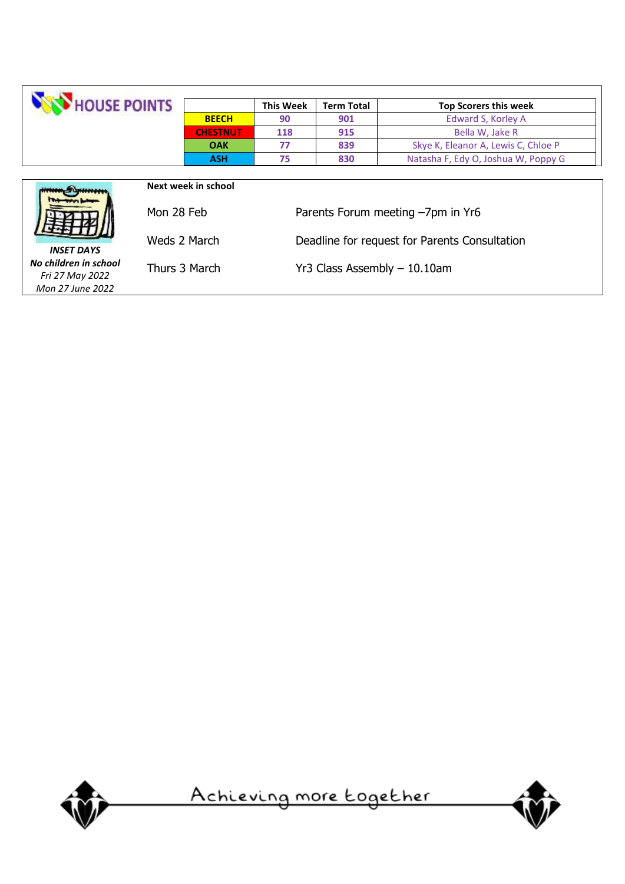| HOUSE POINTS                                                                                  |              |                     | <b>This Week</b>                              | <b>Term Total</b> | <b>Top Scorers this week</b>        |  |
|-----------------------------------------------------------------------------------------------|--------------|---------------------|-----------------------------------------------|-------------------|-------------------------------------|--|
|                                                                                               |              | <b>BEECH</b>        | 90                                            | 901               | Edward S, Korley A                  |  |
|                                                                                               |              | <b>CHESTNUT</b>     | 118                                           | 915               | Bella W, Jake R                     |  |
|                                                                                               |              | <b>OAK</b>          | 77                                            | 839               | Skye K, Eleanor A, Lewis C, Chloe P |  |
|                                                                                               |              | <b>ASH</b>          | 75                                            | 830               | Natasha F, Edy O, Joshua W, Poppy G |  |
|                                                                                               |              |                     |                                               |                   |                                     |  |
|                                                                                               |              | Next week in school |                                               |                   |                                     |  |
|                                                                                               | Mon 28 Feb   |                     | Parents Forum meeting -7pm in Yr6             |                   |                                     |  |
| <b>INSET DAYS</b>                                                                             | Weds 2 March |                     | Deadline for request for Parents Consultation |                   |                                     |  |
| No children in school<br>Thurs 3 March<br>$Yr3$ Class Assembly $-10.10$ am<br>Fri 27 May 2022 |              |                     |                                               |                   |                                     |  |
| Mon 27 June 2022                                                                              |              |                     |                                               |                   |                                     |  |



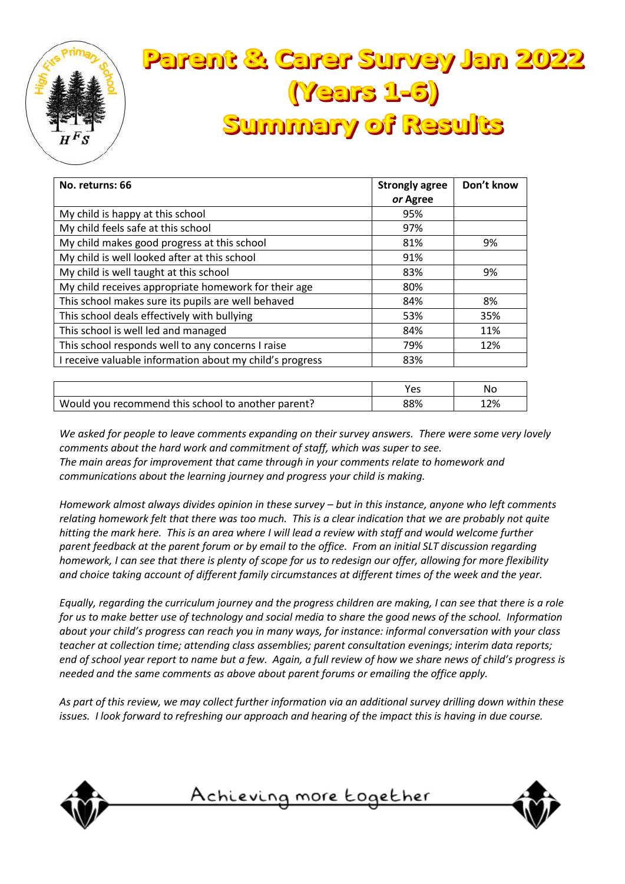

### **Parent & Carer Survey Jan 2022 (Years 1-6) Summary of Results**

| No. returns: 66                                          | <b>Strongly agree</b> | Don't know |
|----------------------------------------------------------|-----------------------|------------|
|                                                          | or Agree              |            |
| My child is happy at this school                         | 95%                   |            |
| My child feels safe at this school                       | 97%                   |            |
| My child makes good progress at this school              | 81%                   | 9%         |
| My child is well looked after at this school             | 91%                   |            |
| My child is well taught at this school                   | 83%                   | 9%         |
| My child receives appropriate homework for their age     | 80%                   |            |
| This school makes sure its pupils are well behaved       | 84%                   | 8%         |
| This school deals effectively with bullying              | 53%                   | 35%        |
| This school is well led and managed                      | 84%                   | 11%        |
| This school responds well to any concerns I raise        | 79%                   | 12%        |
| I receive valuable information about my child's progress | 83%                   |            |
|                                                          |                       |            |

|                                                    | Yes | N٥  |
|----------------------------------------------------|-----|-----|
| Would you recommend this school to another parent? | 88% | 12% |
|                                                    |     |     |

*We asked for people to leave comments expanding on their survey answers. There were some very lovely comments about the hard work and commitment of staff, which was super to see. The main areas for improvement that came through in your comments relate to homework and communications about the learning journey and progress your child is making.*

*Homework almost always divides opinion in these survey – but in this instance, anyone who left comments relating homework felt that there was too much. This is a clear indication that we are probably not quite hitting the mark here. This is an area where I will lead a review with staff and would welcome further parent feedback at the parent forum or by email to the office. From an initial SLT discussion regarding homework, I can see that there is plenty of scope for us to redesign our offer, allowing for more flexibility and choice taking account of different family circumstances at different times of the week and the year.*

*Equally, regarding the curriculum journey and the progress children are making, I can see that there is a role for us to make better use of technology and social media to share the good news of the school. Information about your child's progress can reach you in many ways, for instance: informal conversation with your class teacher at collection time; attending class assemblies; parent consultation evenings; interim data reports; end of school year report to name but a few. Again, a full review of how we share news of child's progress is needed and the same comments as above about parent forums or emailing the office apply.*

*As part of this review, we may collect further information via an additional survey drilling down within these issues. I look forward to refreshing our approach and hearing of the impact this is having in due course.*



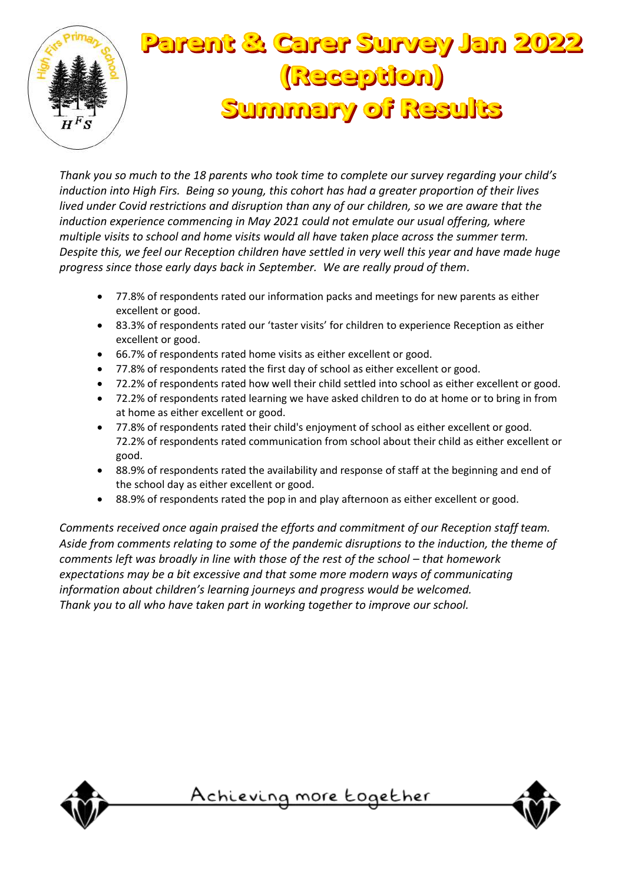

## **Parent & Carer Survey Jan 2022** (Reception) **Summary of Results**

*Thank you so much to the 18 parents who took time to complete our survey regarding your child's induction into High Firs. Being so young, this cohort has had a greater proportion of their lives lived under Covid restrictions and disruption than any of our children, so we are aware that the induction experience commencing in May 2021 could not emulate our usual offering, where multiple visits to school and home visits would all have taken place across the summer term. Despite this, we feel our Reception children have settled in very well this year and have made huge progress since those early days back in September. We are really proud of them.*

- 77.8% of respondents rated our information packs and meetings for new parents as either excellent or good.
- 83.3% of respondents rated our 'taster visits' for children to experience Reception as either excellent or good.
- 66.7% of respondents rated home visits as either excellent or good.
- 77.8% of respondents rated the first day of school as either excellent or good.
- 72.2% of respondents rated how well their child settled into school as either excellent or good.
- 72.2% of respondents rated learning we have asked children to do at home or to bring in from at home as either excellent or good.
- 77.8% of respondents rated their child's enjoyment of school as either excellent or good. 72.2% of respondents rated communication from school about their child as either excellent or good.
- 88.9% of respondents rated the availability and response of staff at the beginning and end of the school day as either excellent or good.
- 88.9% of respondents rated the pop in and play afternoon as either excellent or good.

*Comments received once again praised the efforts and commitment of our Reception staff team. Aside from comments relating to some of the pandemic disruptions to the induction, the theme of comments left was broadly in line with those of the rest of the school – that homework expectations may be a bit excessive and that some more modern ways of communicating information about children's learning journeys and progress would be welcomed. Thank you to all who have taken part in working together to improve our school.*



<u>Achieving more together</u>

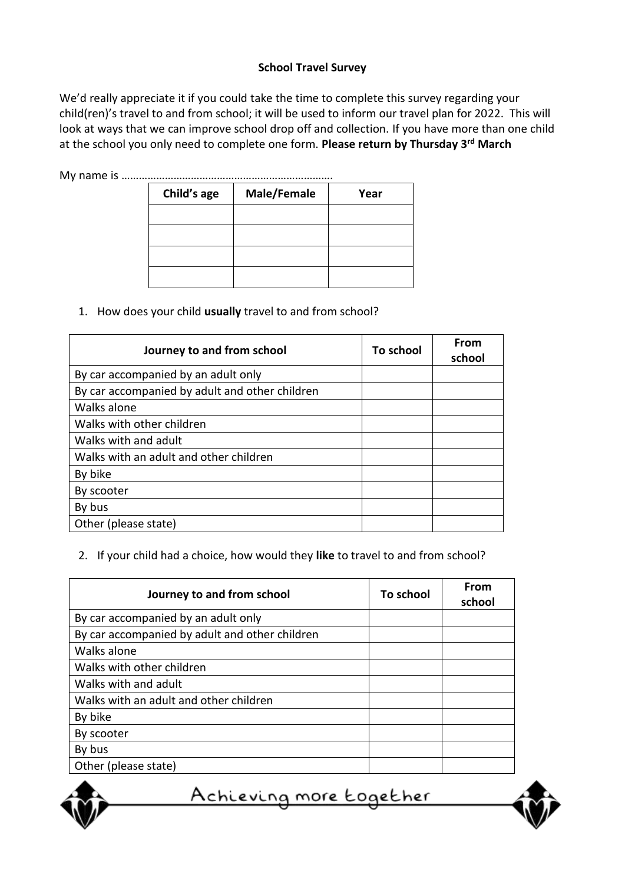#### **School Travel Survey**

We'd really appreciate it if you could take the time to complete this survey regarding your child(ren)'s travel to and from school; it will be used to inform our travel plan for 2022. This will look at ways that we can improve school drop off and collection. If you have more than one child at the school you only need to complete one form. **Please return by Thursday 3rd March**

My name is ……………………………………………………………….

| Child's age | Male/Female | Year |
|-------------|-------------|------|
|             |             |      |
|             |             |      |
|             |             |      |
|             |             |      |

1. How does your child **usually** travel to and from school?

| Journey to and from school                     | To school | From<br>school |
|------------------------------------------------|-----------|----------------|
| By car accompanied by an adult only            |           |                |
| By car accompanied by adult and other children |           |                |
| Walks alone                                    |           |                |
| Walks with other children                      |           |                |
| Walks with and adult                           |           |                |
| Walks with an adult and other children         |           |                |
| By bike                                        |           |                |
| By scooter                                     |           |                |
| By bus                                         |           |                |
| Other (please state)                           |           |                |

2. If your child had a choice, how would they **like** to travel to and from school?

| Journey to and from school                     | To school | From<br>school |
|------------------------------------------------|-----------|----------------|
| By car accompanied by an adult only            |           |                |
| By car accompanied by adult and other children |           |                |
| Walks alone                                    |           |                |
| Walks with other children                      |           |                |
| Walks with and adult                           |           |                |
| Walks with an adult and other children         |           |                |
| By bike                                        |           |                |
| By scooter                                     |           |                |
| By bus                                         |           |                |
| Other (please state)                           |           |                |

<u>Achieving more together</u>